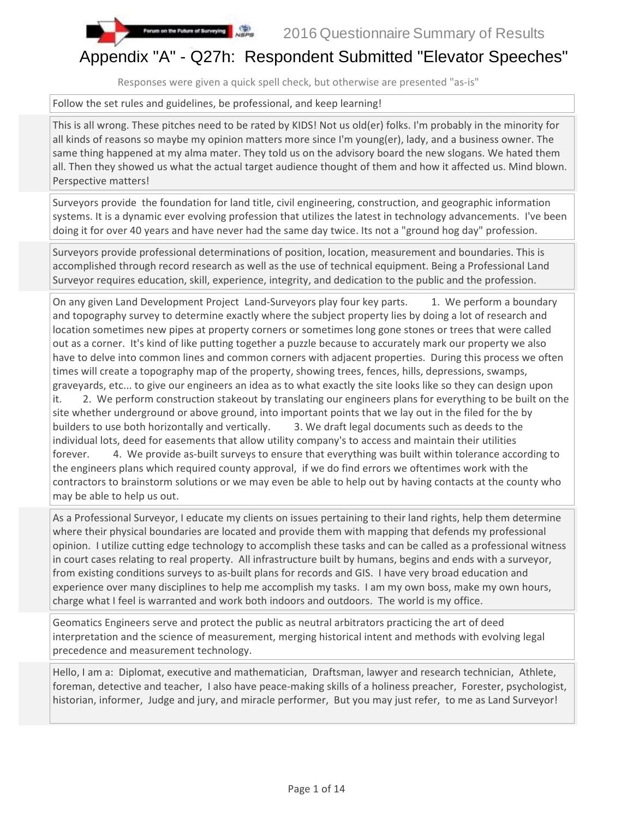

## Appendix "A" - Q27h: Respondent Submitted "Elevator Speeches"

Responses were given a quick spell check, but otherwise are presented "as-is"

Follow the set rules and guidelines, be professional, and keep learning!

on the Future of Surveying NSPS

This is all wrong. These pitches need to be rated by KIDS! Not us old(er) folks. I'm probably in the minority for all kinds of reasons so maybe my opinion matters more since I'm young(er), lady, and a business owner. The same thing happened at my alma mater. They told us on the advisory board the new slogans. We hated them all. Then they showed us what the actual target audience thought of them and how it affected us. Mind blown. Perspective matters!

Surveyors provide the foundation for land title, civil engineering, construction, and geographic information systems. It is a dynamic ever evolving profession that utilizes the latest in technology advancements. I've been doing it for over 40 years and have never had the same day twice. Its not a "ground hog day" profession.

Surveyors provide professional determinations of position, location, measurement and boundaries. This is accomplished through record research as well as the use of technical equipment. Being a Professional Land Surveyor requires education, skill, experience, integrity, and dedication to the public and the profession.

On any given Land Development Project Land-Surveyors play four key parts. 1. We perform a boundary and topography survey to determine exactly where the subject property lies by doing a lot of research and location sometimes new pipes at property corners or sometimes long gone stones or trees that were called out as a corner. It's kind of like putting together a puzzle because to accurately mark our property we also have to delve into common lines and common corners with adjacent properties. During this process we often times will create a topography map of the property, showing trees, fences, hills, depressions, swamps, graveyards, etc... to give our engineers an idea as to what exactly the site looks like so they can design upon it. 2. We perform construction stakeout by translating our engineers plans for everything to be built on the site whether underground or above ground, into important points that we lay out in the filed for the by builders to use both horizontally and vertically. 3. We draft legal documents such as deeds to the individual lots, deed for easements that allow utility company's to access and maintain their utilities forever. 4. We provide as-built surveys to ensure that everything was built within tolerance according to the engineers plans which required county approval, if we do find errors we oftentimes work with the contractors to brainstorm solutions or we may even be able to help out by having contacts at the county who may be able to help us out.

As a Professional Surveyor, I educate my clients on issues pertaining to their land rights, help them determine where their physical boundaries are located and provide them with mapping that defends my professional opinion. I utilize cutting edge technology to accomplish these tasks and can be called as a professional witness in court cases relating to real property. All infrastructure built by humans, begins and ends with a surveyor, from existing conditions surveys to as-built plans for records and GIS. I have very broad education and experience over many disciplines to help me accomplish my tasks. I am my own boss, make my own hours, charge what I feel is warranted and work both indoors and outdoors. The world is my office.

Geomatics Engineers serve and protect the public as neutral arbitrators practicing the art of deed interpretation and the science of measurement, merging historical intent and methods with evolving legal precedence and measurement technology.

Hello, I am a: Diplomat, executive and mathematician, Draftsman, lawyer and research technician, Athlete, foreman, detective and teacher, I also have peace-making skills of a holiness preacher, Forester, psychologist, historian, informer, Judge and jury, and miracle performer, But you may just refer, to me as Land Surveyor!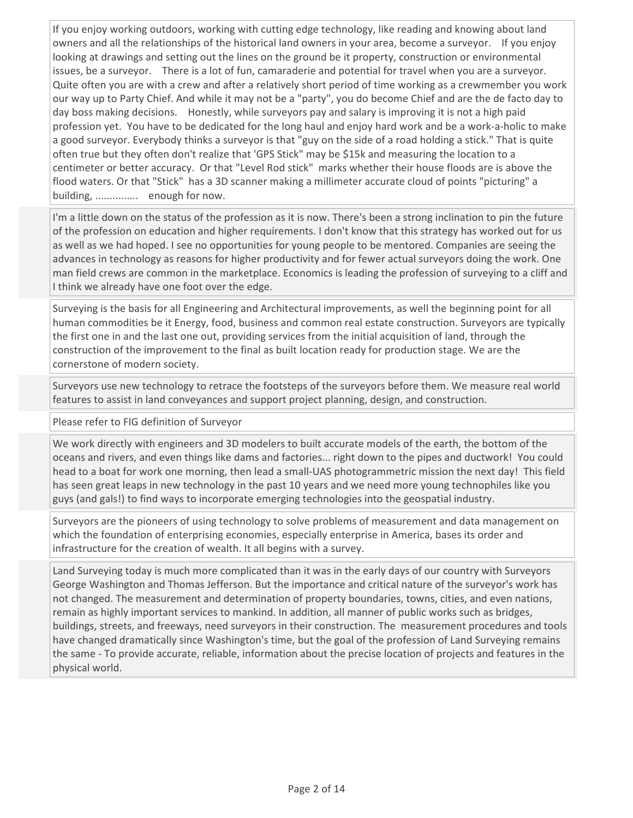If you enjoy working outdoors, working with cutting edge technology, like reading and knowing about land owners and all the relationships of the historical land owners in your area, become a surveyor. If you enjoy looking at drawings and setting out the lines on the ground be it property, construction or environmental issues, be a surveyor. There is a lot of fun, camaraderie and potential for travel when you are a surveyor. Quite often you are with a crew and after a relatively short period of time working as a crewmember you work our way up to Party Chief. And while it may not be a "party", you do become Chief and are the de facto day to day boss making decisions. Honestly, while surveyors pay and salary is improving it is not a high paid profession yet. You have to be dedicated for the long haul and enjoy hard work and be a work-a-holic to make a good surveyor. Everybody thinks a surveyor is that "guy on the side of a road holding a stick." That is quite often true but they often don't realize that 'GPS Stick" may be \$15k and measuring the location to a centimeter or better accuracy. Or that "Level Rod stick" marks whether their house floods are is above the flood waters. Or that "Stick" has a 3D scanner making a millimeter accurate cloud of points "picturing" a building, ............... enough for now.

I'm a little down on the status of the profession as it is now. There's been a strong inclination to pin the future of the profession on education and higher requirements. I don't know that this strategy has worked out for us as well as we had hoped. I see no opportunities for young people to be mentored. Companies are seeing the advances in technology as reasons for higher productivity and for fewer actual surveyors doing the work. One man field crews are common in the marketplace. Economics is leading the profession of surveying to a cliff and I think we already have one foot over the edge.

Surveying is the basis for all Engineering and Architectural improvements, as well the beginning point for all human commodities be it Energy, food, business and common real estate construction. Surveyors are typically the first one in and the last one out, providing services from the initial acquisition of land, through the construction of the improvement to the final as built location ready for production stage. We are the cornerstone of modern society.

Surveyors use new technology to retrace the footsteps of the surveyors before them. We measure real world features to assist in land conveyances and support project planning, design, and construction.

Please refer to FIG definition of Surveyor

We work directly with engineers and 3D modelers to built accurate models of the earth, the bottom of the oceans and rivers, and even things like dams and factories... right down to the pipes and ductwork! You could head to a boat for work one morning, then lead a small-UAS photogrammetric mission the next day! This field has seen great leaps in new technology in the past 10 years and we need more young technophiles like you guys (and gals!) to find ways to incorporate emerging technologies into the geospatial industry.

Surveyors are the pioneers of using technology to solve problems of measurement and data management on which the foundation of enterprising economies, especially enterprise in America, bases its order and infrastructure for the creation of wealth. It all begins with a survey.

Land Surveying today is much more complicated than it was in the early days of our country with Surveyors George Washington and Thomas Jefferson. But the importance and critical nature of the surveyor's work has not changed. The measurement and determination of property boundaries, towns, cities, and even nations, remain as highly important services to mankind. In addition, all manner of public works such as bridges, buildings, streets, and freeways, need surveyors in their construction. The measurement procedures and tools have changed dramatically since Washington's time, but the goal of the profession of Land Surveying remains the same - To provide accurate, reliable, information about the precise location of projects and features in the physical world.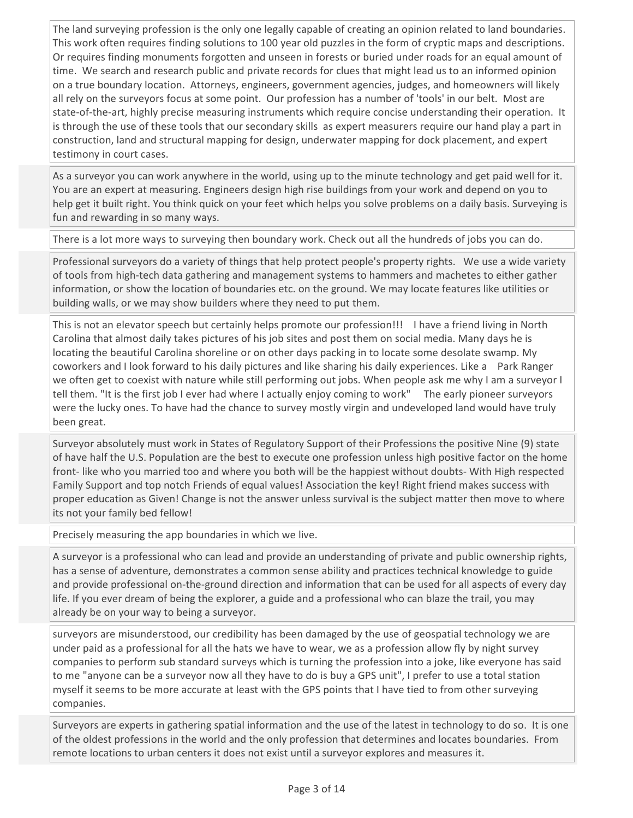The land surveying profession is the only one legally capable of creating an opinion related to land boundaries. This work often requires finding solutions to 100 year old puzzles in the form of cryptic maps and descriptions. Or requires finding monuments forgotten and unseen in forests or buried under roads for an equal amount of time. We search and research public and private records for clues that might lead us to an informed opinion on a true boundary location. Attorneys, engineers, government agencies, judges, and homeowners will likely all rely on the surveyors focus at some point. Our profession has a number of 'tools' in our belt. Most are state-of-the-art, highly precise measuring instruments which require concise understanding their operation. It is through the use of these tools that our secondary skills as expert measurers require our hand play a part in construction, land and structural mapping for design, underwater mapping for dock placement, and expert testimony in court cases.

As a surveyor you can work anywhere in the world, using up to the minute technology and get paid well for it. You are an expert at measuring. Engineers design high rise buildings from your work and depend on you to help get it built right. You think quick on your feet which helps you solve problems on a daily basis. Surveying is fun and rewarding in so many ways.

There is a lot more ways to surveying then boundary work. Check out all the hundreds of jobs you can do.

Professional surveyors do a variety of things that help protect people's property rights. We use a wide variety of tools from high-tech data gathering and management systems to hammers and machetes to either gather information, or show the location of boundaries etc. on the ground. We may locate features like utilities or building walls, or we may show builders where they need to put them.

This is not an elevator speech but certainly helps promote our profession!!! I have a friend living in North Carolina that almost daily takes pictures of his job sites and post them on social media. Many days he is locating the beautiful Carolina shoreline or on other days packing in to locate some desolate swamp. My coworkers and I look forward to his daily pictures and like sharing his daily experiences. Like a Park Ranger we often get to coexist with nature while still performing out jobs. When people ask me why I am a surveyor I tell them. "It is the first job I ever had where I actually enjoy coming to work" The early pioneer surveyors were the lucky ones. To have had the chance to survey mostly virgin and undeveloped land would have truly been great.

Surveyor absolutely must work in States of Regulatory Support of their Professions the positive Nine (9) state of have half the U.S. Population are the best to execute one profession unless high positive factor on the home front- like who you married too and where you both will be the happiest without doubts- With High respected Family Support and top notch Friends of equal values! Association the key! Right friend makes success with proper education as Given! Change is not the answer unless survival is the subject matter then move to where its not your family bed fellow!

Precisely measuring the app boundaries in which we live.

A surveyor is a professional who can lead and provide an understanding of private and public ownership rights, has a sense of adventure, demonstrates a common sense ability and practices technical knowledge to guide and provide professional on-the-ground direction and information that can be used for all aspects of every day life. If you ever dream of being the explorer, a guide and a professional who can blaze the trail, you may already be on your way to being a surveyor.

surveyors are misunderstood, our credibility has been damaged by the use of geospatial technology we are under paid as a professional for all the hats we have to wear, we as a profession allow fly by night survey companies to perform sub standard surveys which is turning the profession into a joke, like everyone has said to me "anyone can be a surveyor now all they have to do is buy a GPS unit", I prefer to use a total station myself it seems to be more accurate at least with the GPS points that I have tied to from other surveying companies.

Surveyors are experts in gathering spatial information and the use of the latest in technology to do so. It is one of the oldest professions in the world and the only profession that determines and locates boundaries. From remote locations to urban centers it does not exist until a surveyor explores and measures it.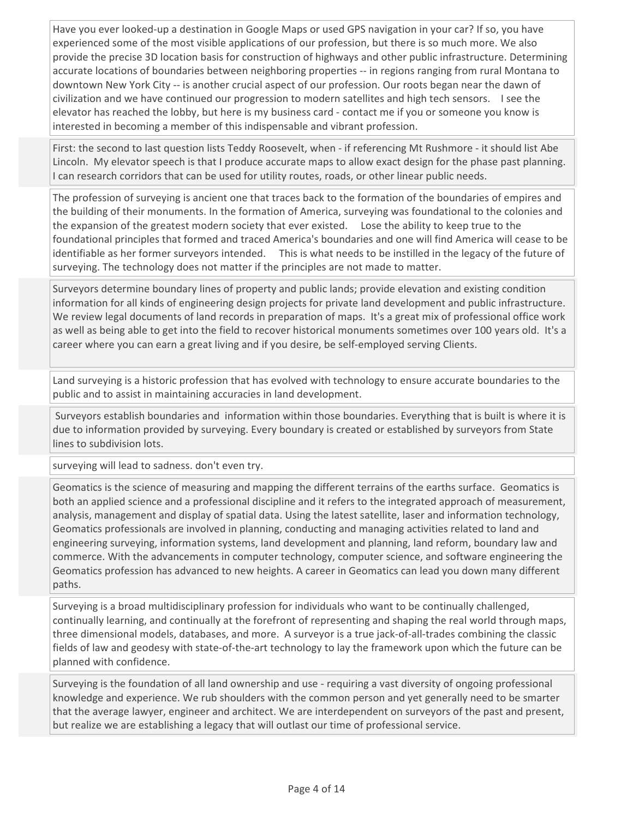Have you ever looked-up a destination in Google Maps or used GPS navigation in your car? If so, you have experienced some of the most visible applications of our profession, but there is so much more. We also provide the precise 3D location basis for construction of highways and other public infrastructure. Determining accurate locations of boundaries between neighboring properties -- in regions ranging from rural Montana to downtown New York City -- is another crucial aspect of our profession. Our roots began near the dawn of civilization and we have continued our progression to modern satellites and high tech sensors. I see the elevator has reached the lobby, but here is my business card - contact me if you or someone you know is interested in becoming a member of this indispensable and vibrant profession.

First: the second to last question lists Teddy Roosevelt, when - if referencing Mt Rushmore - it should list Abe Lincoln. My elevator speech is that I produce accurate maps to allow exact design for the phase past planning. I can research corridors that can be used for utility routes, roads, or other linear public needs.

The profession of surveying is ancient one that traces back to the formation of the boundaries of empires and the building of their monuments. In the formation of America, surveying was foundational to the colonies and the expansion of the greatest modern society that ever existed. Lose the ability to keep true to the foundational principles that formed and traced America's boundaries and one will find America will cease to be identifiable as her former surveyors intended. This is what needs to be instilled in the legacy of the future of surveying. The technology does not matter if the principles are not made to matter.

Surveyors determine boundary lines of property and public lands; provide elevation and existing condition information for all kinds of engineering design projects for private land development and public infrastructure. We review legal documents of land records in preparation of maps. It's a great mix of professional office work as well as being able to get into the field to recover historical monuments sometimes over 100 years old. It's a career where you can earn a great living and if you desire, be self-employed serving Clients.

Land surveying is a historic profession that has evolved with technology to ensure accurate boundaries to the public and to assist in maintaining accuracies in land development.

 Surveyors establish boundaries and information within those boundaries. Everything that is built is where it is due to information provided by surveying. Every boundary is created or established by surveyors from State lines to subdivision lots.

surveying will lead to sadness. don't even try.

Geomatics is the science of measuring and mapping the different terrains of the earths surface. Geomatics is both an applied science and a professional discipline and it refers to the integrated approach of measurement, analysis, management and display of spatial data. Using the latest satellite, laser and information technology, Geomatics professionals are involved in planning, conducting and managing activities related to land and engineering surveying, information systems, land development and planning, land reform, boundary law and commerce. With the advancements in computer technology, computer science, and software engineering the Geomatics profession has advanced to new heights. A career in Geomatics can lead you down many different paths.

Surveying is a broad multidisciplinary profession for individuals who want to be continually challenged, continually learning, and continually at the forefront of representing and shaping the real world through maps, three dimensional models, databases, and more. A surveyor is a true jack-of-all-trades combining the classic fields of law and geodesy with state-of-the-art technology to lay the framework upon which the future can be planned with confidence.

Surveying is the foundation of all land ownership and use - requiring a vast diversity of ongoing professional knowledge and experience. We rub shoulders with the common person and yet generally need to be smarter that the average lawyer, engineer and architect. We are interdependent on surveyors of the past and present, but realize we are establishing a legacy that will outlast our time of professional service.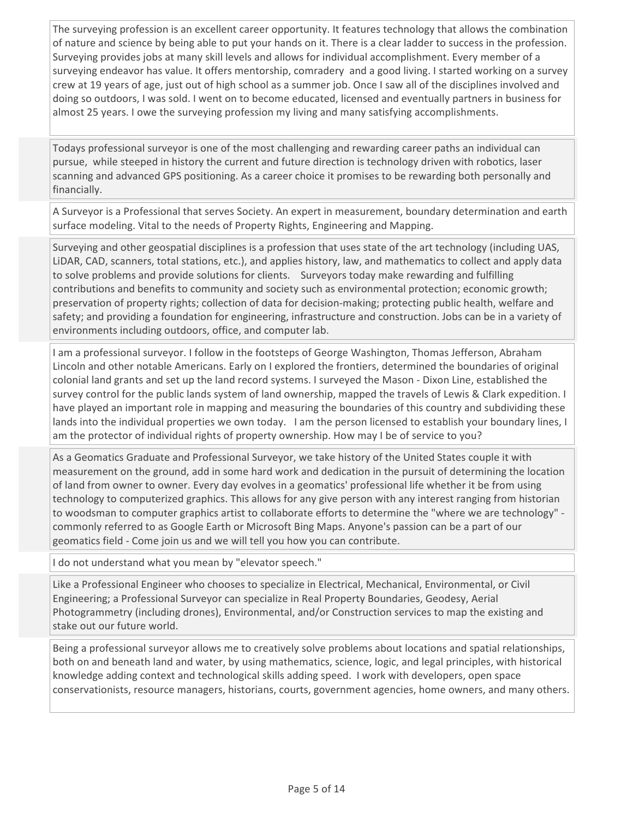The surveying profession is an excellent career opportunity. It features technology that allows the combination of nature and science by being able to put your hands on it. There is a clear ladder to success in the profession. Surveying provides jobs at many skill levels and allows for individual accomplishment. Every member of a surveying endeavor has value. It offers mentorship, comradery and a good living. I started working on a survey crew at 19 years of age, just out of high school as a summer job. Once I saw all of the disciplines involved and doing so outdoors, I was sold. I went on to become educated, licensed and eventually partners in business for almost 25 years. I owe the surveying profession my living and many satisfying accomplishments.

Todays professional surveyor is one of the most challenging and rewarding career paths an individual can pursue, while steeped in history the current and future direction is technology driven with robotics, laser scanning and advanced GPS positioning. As a career choice it promises to be rewarding both personally and financially.

A Surveyor is a Professional that serves Society. An expert in measurement, boundary determination and earth surface modeling. Vital to the needs of Property Rights, Engineering and Mapping.

Surveying and other geospatial disciplines is a profession that uses state of the art technology (including UAS, LiDAR, CAD, scanners, total stations, etc.), and applies history, law, and mathematics to collect and apply data to solve problems and provide solutions for clients. Surveyors today make rewarding and fulfilling contributions and benefits to community and society such as environmental protection; economic growth; preservation of property rights; collection of data for decision-making; protecting public health, welfare and safety; and providing a foundation for engineering, infrastructure and construction. Jobs can be in a variety of environments including outdoors, office, and computer lab.

I am a professional surveyor. I follow in the footsteps of George Washington, Thomas Jefferson, Abraham Lincoln and other notable Americans. Early on I explored the frontiers, determined the boundaries of original colonial land grants and set up the land record systems. I surveyed the Mason - Dixon Line, established the survey control for the public lands system of land ownership, mapped the travels of Lewis & Clark expedition. I have played an important role in mapping and measuring the boundaries of this country and subdividing these lands into the individual properties we own today. I am the person licensed to establish your boundary lines, I am the protector of individual rights of property ownership. How may I be of service to you?

As a Geomatics Graduate and Professional Surveyor, we take history of the United States couple it with measurement on the ground, add in some hard work and dedication in the pursuit of determining the location of land from owner to owner. Every day evolves in a geomatics' professional life whether it be from using technology to computerized graphics. This allows for any give person with any interest ranging from historian to woodsman to computer graphics artist to collaborate efforts to determine the "where we are technology" commonly referred to as Google Earth or Microsoft Bing Maps. Anyone's passion can be a part of our geomatics field - Come join us and we will tell you how you can contribute.

I do not understand what you mean by "elevator speech."

Like a Professional Engineer who chooses to specialize in Electrical, Mechanical, Environmental, or Civil Engineering; a Professional Surveyor can specialize in Real Property Boundaries, Geodesy, Aerial Photogrammetry (including drones), Environmental, and/or Construction services to map the existing and stake out our future world.

Being a professional surveyor allows me to creatively solve problems about locations and spatial relationships, both on and beneath land and water, by using mathematics, science, logic, and legal principles, with historical knowledge adding context and technological skills adding speed. I work with developers, open space conservationists, resource managers, historians, courts, government agencies, home owners, and many others.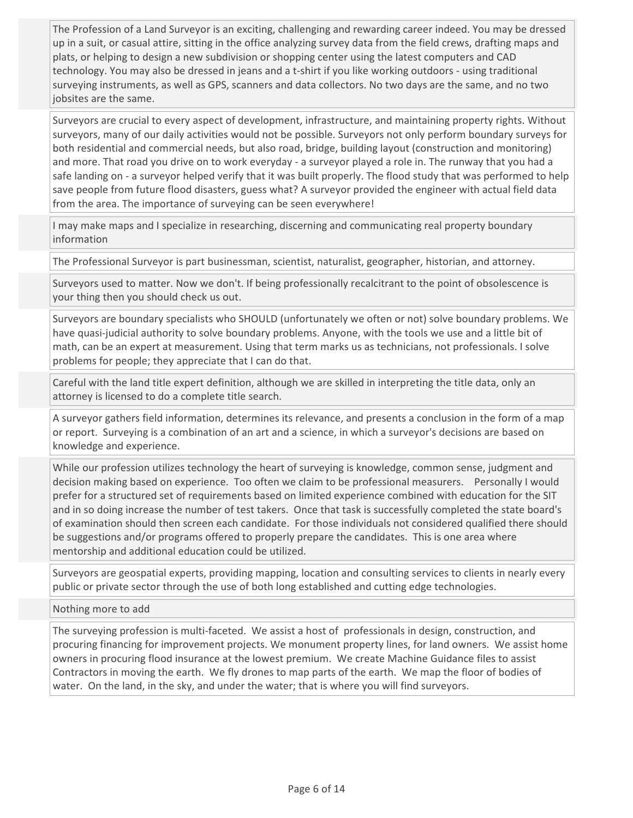The Profession of a Land Surveyor is an exciting, challenging and rewarding career indeed. You may be dressed up in a suit, or casual attire, sitting in the office analyzing survey data from the field crews, drafting maps and plats, or helping to design a new subdivision or shopping center using the latest computers and CAD technology. You may also be dressed in jeans and a t-shirt if you like working outdoors - using traditional surveying instruments, as well as GPS, scanners and data collectors. No two days are the same, and no two jobsites are the same.

Surveyors are crucial to every aspect of development, infrastructure, and maintaining property rights. Without surveyors, many of our daily activities would not be possible. Surveyors not only perform boundary surveys for both residential and commercial needs, but also road, bridge, building layout (construction and monitoring) and more. That road you drive on to work everyday - a surveyor played a role in. The runway that you had a safe landing on - a surveyor helped verify that it was built properly. The flood study that was performed to help save people from future flood disasters, guess what? A surveyor provided the engineer with actual field data from the area. The importance of surveying can be seen everywhere!

I may make maps and I specialize in researching, discerning and communicating real property boundary information

The Professional Surveyor is part businessman, scientist, naturalist, geographer, historian, and attorney.

Surveyors used to matter. Now we don't. If being professionally recalcitrant to the point of obsolescence is your thing then you should check us out.

Surveyors are boundary specialists who SHOULD (unfortunately we often or not) solve boundary problems. We have quasi-judicial authority to solve boundary problems. Anyone, with the tools we use and a little bit of math, can be an expert at measurement. Using that term marks us as technicians, not professionals. I solve problems for people; they appreciate that I can do that.

Careful with the land title expert definition, although we are skilled in interpreting the title data, only an attorney is licensed to do a complete title search.

A surveyor gathers field information, determines its relevance, and presents a conclusion in the form of a map or report. Surveying is a combination of an art and a science, in which a surveyor's decisions are based on knowledge and experience.

While our profession utilizes technology the heart of surveying is knowledge, common sense, judgment and decision making based on experience. Too often we claim to be professional measurers. Personally I would prefer for a structured set of requirements based on limited experience combined with education for the SIT and in so doing increase the number of test takers. Once that task is successfully completed the state board's of examination should then screen each candidate. For those individuals not considered qualified there should be suggestions and/or programs offered to properly prepare the candidates. This is one area where mentorship and additional education could be utilized.

Surveyors are geospatial experts, providing mapping, location and consulting services to clients in nearly every public or private sector through the use of both long established and cutting edge technologies.

Nothing more to add

The surveying profession is multi-faceted. We assist a host of professionals in design, construction, and procuring financing for improvement projects. We monument property lines, for land owners. We assist home owners in procuring flood insurance at the lowest premium. We create Machine Guidance files to assist Contractors in moving the earth. We fly drones to map parts of the earth. We map the floor of bodies of water. On the land, in the sky, and under the water; that is where you will find surveyors.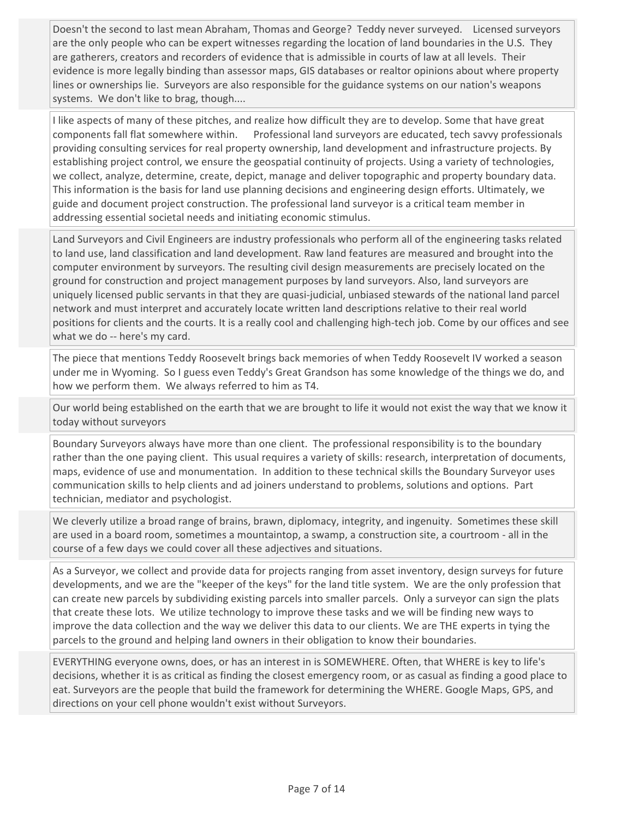Doesn't the second to last mean Abraham, Thomas and George? Teddy never surveyed. Licensed surveyors are the only people who can be expert witnesses regarding the location of land boundaries in the U.S. They are gatherers, creators and recorders of evidence that is admissible in courts of law at all levels. Their evidence is more legally binding than assessor maps, GIS databases or realtor opinions about where property lines or ownerships lie. Surveyors are also responsible for the guidance systems on our nation's weapons systems. We don't like to brag, though....

I like aspects of many of these pitches, and realize how difficult they are to develop. Some that have great components fall flat somewhere within. Professional land surveyors are educated, tech savvy professionals providing consulting services for real property ownership, land development and infrastructure projects. By establishing project control, we ensure the geospatial continuity of projects. Using a variety of technologies, we collect, analyze, determine, create, depict, manage and deliver topographic and property boundary data. This information is the basis for land use planning decisions and engineering design efforts. Ultimately, we guide and document project construction. The professional land surveyor is a critical team member in addressing essential societal needs and initiating economic stimulus.

Land Surveyors and Civil Engineers are industry professionals who perform all of the engineering tasks related to land use, land classification and land development. Raw land features are measured and brought into the computer environment by surveyors. The resulting civil design measurements are precisely located on the ground for construction and project management purposes by land surveyors. Also, land surveyors are uniquely licensed public servants in that they are quasi-judicial, unbiased stewards of the national land parcel network and must interpret and accurately locate written land descriptions relative to their real world positions for clients and the courts. It is a really cool and challenging high-tech job. Come by our offices and see what we do -- here's my card.

The piece that mentions Teddy Roosevelt brings back memories of when Teddy Roosevelt IV worked a season under me in Wyoming. So I guess even Teddy's Great Grandson has some knowledge of the things we do, and how we perform them. We always referred to him as T4.

Our world being established on the earth that we are brought to life it would not exist the way that we know it today without surveyors

Boundary Surveyors always have more than one client. The professional responsibility is to the boundary rather than the one paying client. This usual requires a variety of skills: research, interpretation of documents, maps, evidence of use and monumentation. In addition to these technical skills the Boundary Surveyor uses communication skills to help clients and ad joiners understand to problems, solutions and options. Part technician, mediator and psychologist.

We cleverly utilize a broad range of brains, brawn, diplomacy, integrity, and ingenuity. Sometimes these skill are used in a board room, sometimes a mountaintop, a swamp, a construction site, a courtroom - all in the course of a few days we could cover all these adjectives and situations.

As a Surveyor, we collect and provide data for projects ranging from asset inventory, design surveys for future developments, and we are the "keeper of the keys" for the land title system. We are the only profession that can create new parcels by subdividing existing parcels into smaller parcels. Only a surveyor can sign the plats that create these lots. We utilize technology to improve these tasks and we will be finding new ways to improve the data collection and the way we deliver this data to our clients. We are THE experts in tying the parcels to the ground and helping land owners in their obligation to know their boundaries.

EVERYTHING everyone owns, does, or has an interest in is SOMEWHERE. Often, that WHERE is key to life's decisions, whether it is as critical as finding the closest emergency room, or as casual as finding a good place to eat. Surveyors are the people that build the framework for determining the WHERE. Google Maps, GPS, and directions on your cell phone wouldn't exist without Surveyors.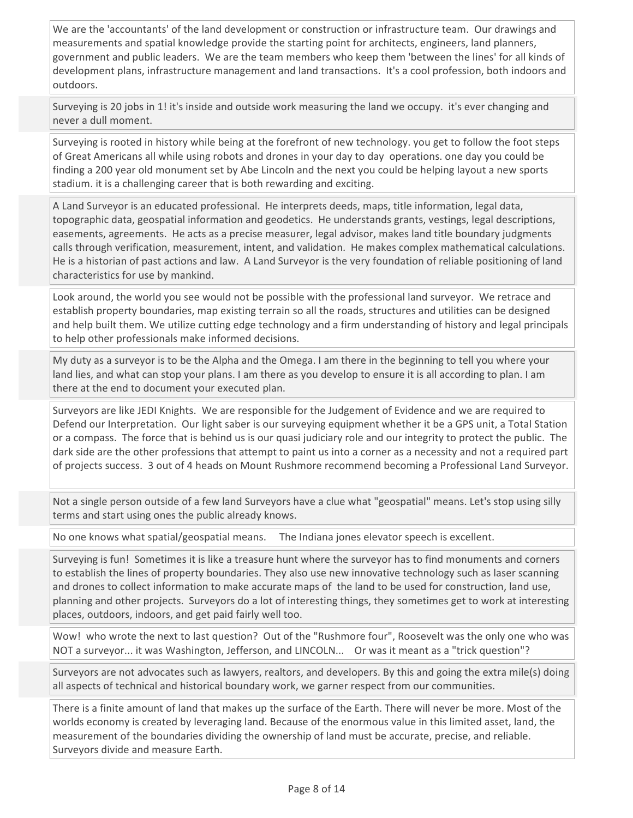We are the 'accountants' of the land development or construction or infrastructure team. Our drawings and measurements and spatial knowledge provide the starting point for architects, engineers, land planners, government and public leaders. We are the team members who keep them 'between the lines' for all kinds of development plans, infrastructure management and land transactions. It's a cool profession, both indoors and outdoors.

Surveying is 20 jobs in 1! it's inside and outside work measuring the land we occupy. it's ever changing and never a dull moment.

Surveying is rooted in history while being at the forefront of new technology. you get to follow the foot steps of Great Americans all while using robots and drones in your day to day operations. one day you could be finding a 200 year old monument set by Abe Lincoln and the next you could be helping layout a new sports stadium. it is a challenging career that is both rewarding and exciting.

A Land Surveyor is an educated professional. He interprets deeds, maps, title information, legal data, topographic data, geospatial information and geodetics. He understands grants, vestings, legal descriptions, easements, agreements. He acts as a precise measurer, legal advisor, makes land title boundary judgments calls through verification, measurement, intent, and validation. He makes complex mathematical calculations. He is a historian of past actions and law. A Land Surveyor is the very foundation of reliable positioning of land characteristics for use by mankind.

Look around, the world you see would not be possible with the professional land surveyor. We retrace and establish property boundaries, map existing terrain so all the roads, structures and utilities can be designed and help built them. We utilize cutting edge technology and a firm understanding of history and legal principals to help other professionals make informed decisions.

My duty as a surveyor is to be the Alpha and the Omega. I am there in the beginning to tell you where your land lies, and what can stop your plans. I am there as you develop to ensure it is all according to plan. I am there at the end to document your executed plan.

Surveyors are like JEDI Knights. We are responsible for the Judgement of Evidence and we are required to Defend our Interpretation. Our light saber is our surveying equipment whether it be a GPS unit, a Total Station or a compass. The force that is behind us is our quasi judiciary role and our integrity to protect the public. The dark side are the other professions that attempt to paint us into a corner as a necessity and not a required part of projects success. 3 out of 4 heads on Mount Rushmore recommend becoming a Professional Land Surveyor.

Not a single person outside of a few land Surveyors have a clue what "geospatial" means. Let's stop using silly terms and start using ones the public already knows.

No one knows what spatial/geospatial means. The Indiana jones elevator speech is excellent.

Surveying is fun! Sometimes it is like a treasure hunt where the surveyor has to find monuments and corners to establish the lines of property boundaries. They also use new innovative technology such as laser scanning and drones to collect information to make accurate maps of the land to be used for construction, land use, planning and other projects. Surveyors do a lot of interesting things, they sometimes get to work at interesting places, outdoors, indoors, and get paid fairly well too.

Wow! who wrote the next to last question? Out of the "Rushmore four", Roosevelt was the only one who was NOT a surveyor... it was Washington, Jefferson, and LINCOLN... Or was it meant as a "trick question"?

Surveyors are not advocates such as lawyers, realtors, and developers. By this and going the extra mile(s) doing all aspects of technical and historical boundary work, we garner respect from our communities.

There is a finite amount of land that makes up the surface of the Earth. There will never be more. Most of the worlds economy is created by leveraging land. Because of the enormous value in this limited asset, land, the measurement of the boundaries dividing the ownership of land must be accurate, precise, and reliable. Surveyors divide and measure Earth.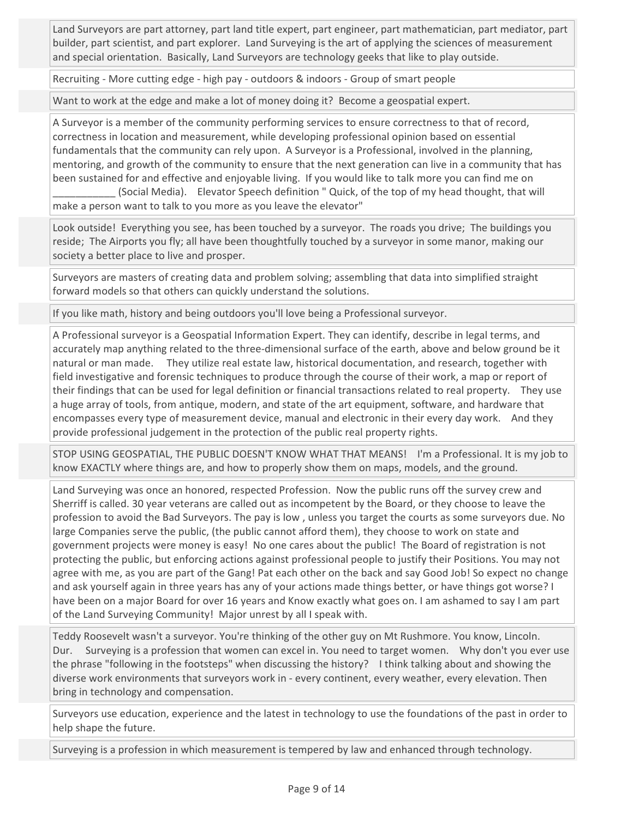Land Surveyors are part attorney, part land title expert, part engineer, part mathematician, part mediator, part builder, part scientist, and part explorer. Land Surveying is the art of applying the sciences of measurement and special orientation. Basically, Land Surveyors are technology geeks that like to play outside.

Recruiting - More cutting edge - high pay - outdoors & indoors - Group of smart people

Want to work at the edge and make a lot of money doing it? Become a geospatial expert.

A Surveyor is a member of the community performing services to ensure correctness to that of record, correctness in location and measurement, while developing professional opinion based on essential fundamentals that the community can rely upon. A Surveyor is a Professional, involved in the planning, mentoring, and growth of the community to ensure that the next generation can live in a community that has been sustained for and effective and enjoyable living. If you would like to talk more you can find me on \_\_\_\_\_\_\_\_\_\_\_ (Social Media). Elevator Speech definition " Quick, of the top of my head thought, that will make a person want to talk to you more as you leave the elevator"

Look outside! Everything you see, has been touched by a surveyor. The roads you drive; The buildings you reside; The Airports you fly; all have been thoughtfully touched by a surveyor in some manor, making our society a better place to live and prosper.

Surveyors are masters of creating data and problem solving; assembling that data into simplified straight forward models so that others can quickly understand the solutions.

If you like math, history and being outdoors you'll love being a Professional surveyor.

A Professional surveyor is a Geospatial Information Expert. They can identify, describe in legal terms, and accurately map anything related to the three-dimensional surface of the earth, above and below ground be it natural or man made. They utilize real estate law, historical documentation, and research, together with field investigative and forensic techniques to produce through the course of their work, a map or report of their findings that can be used for legal definition or financial transactions related to real property. They use a huge array of tools, from antique, modern, and state of the art equipment, software, and hardware that encompasses every type of measurement device, manual and electronic in their every day work. And they provide professional judgement in the protection of the public real property rights.

STOP USING GEOSPATIAL, THE PUBLIC DOESN'T KNOW WHAT THAT MEANS! I'm a Professional. It is my job to know EXACTLY where things are, and how to properly show them on maps, models, and the ground.

Land Surveying was once an honored, respected Profession. Now the public runs off the survey crew and Sherriff is called. 30 year veterans are called out as incompetent by the Board, or they choose to leave the profession to avoid the Bad Surveyors. The pay is low , unless you target the courts as some surveyors due. No large Companies serve the public, (the public cannot afford them), they choose to work on state and government projects were money is easy! No one cares about the public! The Board of registration is not protecting the public, but enforcing actions against professional people to justify their Positions. You may not agree with me, as you are part of the Gang! Pat each other on the back and say Good Job! So expect no change and ask yourself again in three years has any of your actions made things better, or have things got worse? I have been on a major Board for over 16 years and Know exactly what goes on. I am ashamed to say I am part of the Land Surveying Community! Major unrest by all I speak with.

Teddy Roosevelt wasn't a surveyor. You're thinking of the other guy on Mt Rushmore. You know, Lincoln. Dur. Surveying is a profession that women can excel in. You need to target women. Why don't you ever use the phrase "following in the footsteps" when discussing the history? I think talking about and showing the diverse work environments that surveyors work in - every continent, every weather, every elevation. Then bring in technology and compensation.

Surveyors use education, experience and the latest in technology to use the foundations of the past in order to help shape the future.

Surveying is a profession in which measurement is tempered by law and enhanced through technology.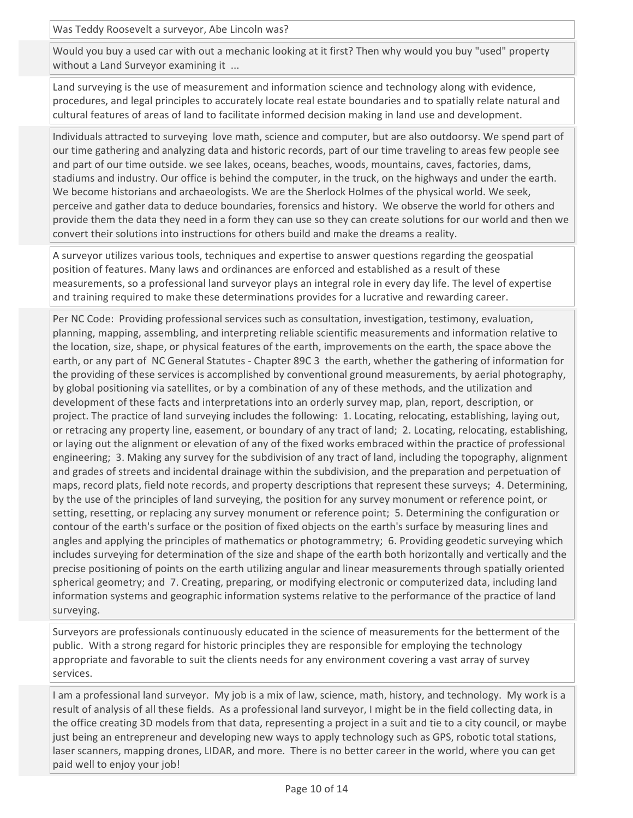Was Teddy Roosevelt a surveyor, Abe Lincoln was?

Would you buy a used car with out a mechanic looking at it first? Then why would you buy "used" property without a Land Surveyor examining it ...

Land surveying is the use of measurement and information science and technology along with evidence, procedures, and legal principles to accurately locate real estate boundaries and to spatially relate natural and cultural features of areas of land to facilitate informed decision making in land use and development.

Individuals attracted to surveying love math, science and computer, but are also outdoorsy. We spend part of our time gathering and analyzing data and historic records, part of our time traveling to areas few people see and part of our time outside. we see lakes, oceans, beaches, woods, mountains, caves, factories, dams, stadiums and industry. Our office is behind the computer, in the truck, on the highways and under the earth. We become historians and archaeologists. We are the Sherlock Holmes of the physical world. We seek, perceive and gather data to deduce boundaries, forensics and history. We observe the world for others and provide them the data they need in a form they can use so they can create solutions for our world and then we convert their solutions into instructions for others build and make the dreams a reality.

A surveyor utilizes various tools, techniques and expertise to answer questions regarding the geospatial position of features. Many laws and ordinances are enforced and established as a result of these measurements, so a professional land surveyor plays an integral role in every day life. The level of expertise and training required to make these determinations provides for a lucrative and rewarding career.

Per NC Code: Providing professional services such as consultation, investigation, testimony, evaluation, planning, mapping, assembling, and interpreting reliable scientific measurements and information relative to the location, size, shape, or physical features of the earth, improvements on the earth, the space above the earth, or any part of NC General Statutes - Chapter 89C 3 the earth, whether the gathering of information for the providing of these services is accomplished by conventional ground measurements, by aerial photography, by global positioning via satellites, or by a combination of any of these methods, and the utilization and development of these facts and interpretations into an orderly survey map, plan, report, description, or project. The practice of land surveying includes the following: 1. Locating, relocating, establishing, laying out, or retracing any property line, easement, or boundary of any tract of land; 2. Locating, relocating, establishing, or laying out the alignment or elevation of any of the fixed works embraced within the practice of professional engineering; 3. Making any survey for the subdivision of any tract of land, including the topography, alignment and grades of streets and incidental drainage within the subdivision, and the preparation and perpetuation of maps, record plats, field note records, and property descriptions that represent these surveys; 4. Determining, by the use of the principles of land surveying, the position for any survey monument or reference point, or setting, resetting, or replacing any survey monument or reference point; 5. Determining the configuration or contour of the earth's surface or the position of fixed objects on the earth's surface by measuring lines and angles and applying the principles of mathematics or photogrammetry; 6. Providing geodetic surveying which includes surveying for determination of the size and shape of the earth both horizontally and vertically and the precise positioning of points on the earth utilizing angular and linear measurements through spatially oriented spherical geometry; and 7. Creating, preparing, or modifying electronic or computerized data, including land information systems and geographic information systems relative to the performance of the practice of land surveying.

Surveyors are professionals continuously educated in the science of measurements for the betterment of the public. With a strong regard for historic principles they are responsible for employing the technology appropriate and favorable to suit the clients needs for any environment covering a vast array of survey services.

I am a professional land surveyor. My job is a mix of law, science, math, history, and technology. My work is a result of analysis of all these fields. As a professional land surveyor, I might be in the field collecting data, in the office creating 3D models from that data, representing a project in a suit and tie to a city council, or maybe just being an entrepreneur and developing new ways to apply technology such as GPS, robotic total stations, laser scanners, mapping drones, LIDAR, and more. There is no better career in the world, where you can get paid well to enjoy your job!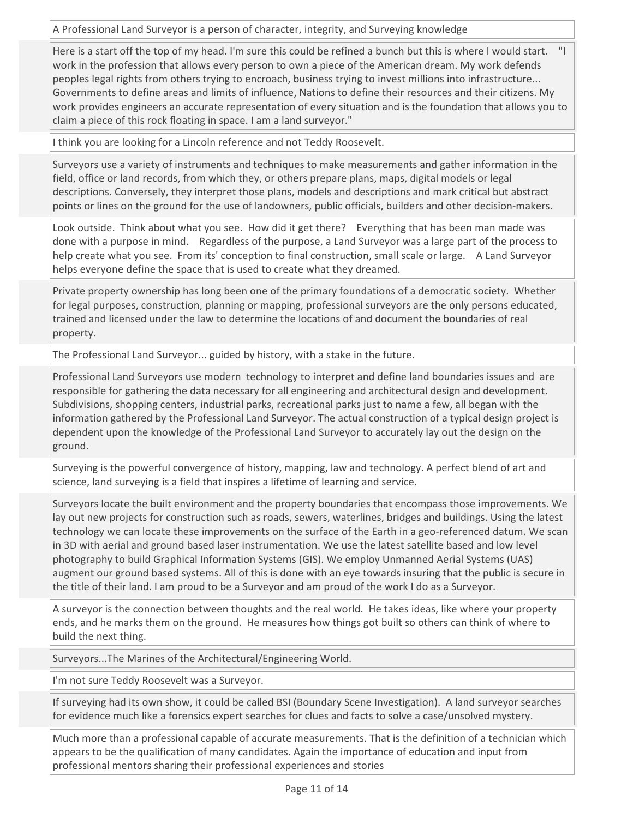A Professional Land Surveyor is a person of character, integrity, and Surveying knowledge

Here is a start off the top of my head. I'm sure this could be refined a bunch but this is where I would start. "I work in the profession that allows every person to own a piece of the American dream. My work defends peoples legal rights from others trying to encroach, business trying to invest millions into infrastructure... Governments to define areas and limits of influence, Nations to define their resources and their citizens. My work provides engineers an accurate representation of every situation and is the foundation that allows you to claim a piece of this rock floating in space. I am a land surveyor."

I think you are looking for a Lincoln reference and not Teddy Roosevelt.

Surveyors use a variety of instruments and techniques to make measurements and gather information in the field, office or land records, from which they, or others prepare plans, maps, digital models or legal descriptions. Conversely, they interpret those plans, models and descriptions and mark critical but abstract points or lines on the ground for the use of landowners, public officials, builders and other decision-makers.

Look outside. Think about what you see. How did it get there? Everything that has been man made was done with a purpose in mind. Regardless of the purpose, a Land Surveyor was a large part of the process to help create what you see. From its' conception to final construction, small scale or large. A Land Surveyor helps everyone define the space that is used to create what they dreamed.

Private property ownership has long been one of the primary foundations of a democratic society. Whether for legal purposes, construction, planning or mapping, professional surveyors are the only persons educated, trained and licensed under the law to determine the locations of and document the boundaries of real property.

The Professional Land Surveyor... guided by history, with a stake in the future.

Professional Land Surveyors use modern technology to interpret and define land boundaries issues and are responsible for gathering the data necessary for all engineering and architectural design and development. Subdivisions, shopping centers, industrial parks, recreational parks just to name a few, all began with the information gathered by the Professional Land Surveyor. The actual construction of a typical design project is dependent upon the knowledge of the Professional Land Surveyor to accurately lay out the design on the ground.

Surveying is the powerful convergence of history, mapping, law and technology. A perfect blend of art and science, land surveying is a field that inspires a lifetime of learning and service.

Surveyors locate the built environment and the property boundaries that encompass those improvements. We lay out new projects for construction such as roads, sewers, waterlines, bridges and buildings. Using the latest technology we can locate these improvements on the surface of the Earth in a geo-referenced datum. We scan in 3D with aerial and ground based laser instrumentation. We use the latest satellite based and low level photography to build Graphical Information Systems (GIS). We employ Unmanned Aerial Systems (UAS) augment our ground based systems. All of this is done with an eye towards insuring that the public is secure in the title of their land. I am proud to be a Surveyor and am proud of the work I do as a Surveyor.

A surveyor is the connection between thoughts and the real world. He takes ideas, like where your property ends, and he marks them on the ground. He measures how things got built so others can think of where to build the next thing.

Surveyors...The Marines of the Architectural/Engineering World.

I'm not sure Teddy Roosevelt was a Surveyor.

If surveying had its own show, it could be called BSI (Boundary Scene Investigation). A land surveyor searches for evidence much like a forensics expert searches for clues and facts to solve a case/unsolved mystery.

Much more than a professional capable of accurate measurements. That is the definition of a technician which appears to be the qualification of many candidates. Again the importance of education and input from professional mentors sharing their professional experiences and stories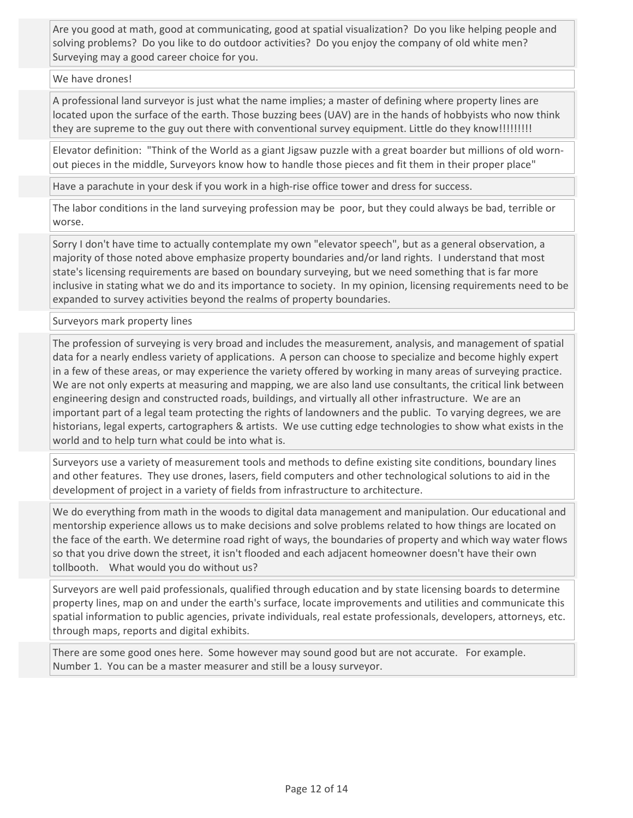Are you good at math, good at communicating, good at spatial visualization? Do you like helping people and solving problems? Do you like to do outdoor activities? Do you enjoy the company of old white men? Surveying may a good career choice for you.

## We have drones!

A professional land surveyor is just what the name implies; a master of defining where property lines are located upon the surface of the earth. Those buzzing bees (UAV) are in the hands of hobbyists who now think they are supreme to the guy out there with conventional survey equipment. Little do they know!!!!!!!!!

Elevator definition: "Think of the World as a giant Jigsaw puzzle with a great boarder but millions of old wornout pieces in the middle, Surveyors know how to handle those pieces and fit them in their proper place"

Have a parachute in your desk if you work in a high-rise office tower and dress for success.

The labor conditions in the land surveying profession may be poor, but they could always be bad, terrible or worse.

Sorry I don't have time to actually contemplate my own "elevator speech", but as a general observation, a majority of those noted above emphasize property boundaries and/or land rights. I understand that most state's licensing requirements are based on boundary surveying, but we need something that is far more inclusive in stating what we do and its importance to society. In my opinion, licensing requirements need to be expanded to survey activities beyond the realms of property boundaries.

Surveyors mark property lines

The profession of surveying is very broad and includes the measurement, analysis, and management of spatial data for a nearly endless variety of applications. A person can choose to specialize and become highly expert in a few of these areas, or may experience the variety offered by working in many areas of surveying practice. We are not only experts at measuring and mapping, we are also land use consultants, the critical link between engineering design and constructed roads, buildings, and virtually all other infrastructure. We are an important part of a legal team protecting the rights of landowners and the public. To varying degrees, we are historians, legal experts, cartographers & artists. We use cutting edge technologies to show what exists in the world and to help turn what could be into what is.

Surveyors use a variety of measurement tools and methods to define existing site conditions, boundary lines and other features. They use drones, lasers, field computers and other technological solutions to aid in the development of project in a variety of fields from infrastructure to architecture.

We do everything from math in the woods to digital data management and manipulation. Our educational and mentorship experience allows us to make decisions and solve problems related to how things are located on the face of the earth. We determine road right of ways, the boundaries of property and which way water flows so that you drive down the street, it isn't flooded and each adjacent homeowner doesn't have their own tollbooth. What would you do without us?

Surveyors are well paid professionals, qualified through education and by state licensing boards to determine property lines, map on and under the earth's surface, locate improvements and utilities and communicate this spatial information to public agencies, private individuals, real estate professionals, developers, attorneys, etc. through maps, reports and digital exhibits.

There are some good ones here. Some however may sound good but are not accurate. For example. Number 1. You can be a master measurer and still be a lousy surveyor.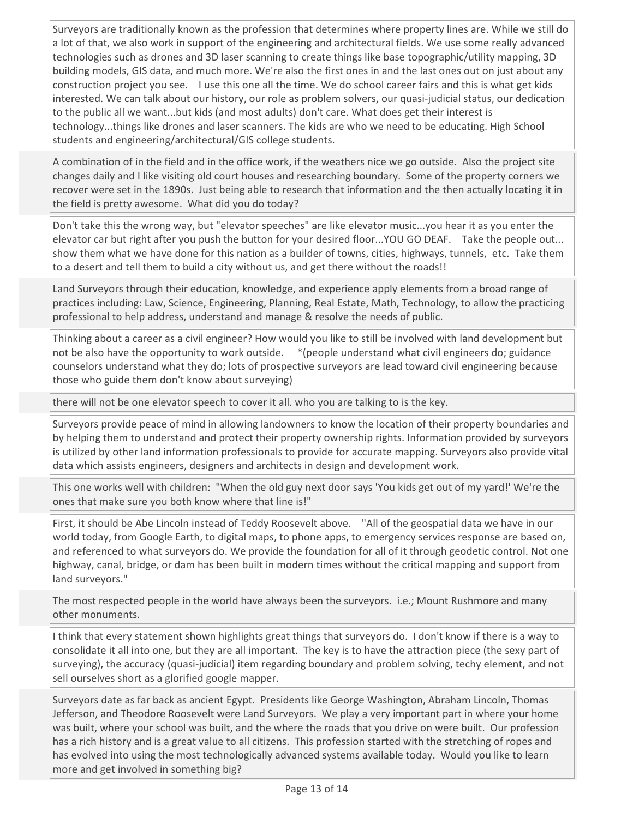Surveyors are traditionally known as the profession that determines where property lines are. While we still do a lot of that, we also work in support of the engineering and architectural fields. We use some really advanced technologies such as drones and 3D laser scanning to create things like base topographic/utility mapping, 3D building models, GIS data, and much more. We're also the first ones in and the last ones out on just about any construction project you see. I use this one all the time. We do school career fairs and this is what get kids interested. We can talk about our history, our role as problem solvers, our quasi-judicial status, our dedication to the public all we want...but kids (and most adults) don't care. What does get their interest is technology...things like drones and laser scanners. The kids are who we need to be educating. High School students and engineering/architectural/GIS college students.

A combination of in the field and in the office work, if the weathers nice we go outside. Also the project site changes daily and I like visiting old court houses and researching boundary. Some of the property corners we recover were set in the 1890s. Just being able to research that information and the then actually locating it in the field is pretty awesome. What did you do today?

Don't take this the wrong way, but "elevator speeches" are like elevator music...you hear it as you enter the elevator car but right after you push the button for your desired floor...YOU GO DEAF. Take the people out... show them what we have done for this nation as a builder of towns, cities, highways, tunnels, etc. Take them to a desert and tell them to build a city without us, and get there without the roads!!

Land Surveyors through their education, knowledge, and experience apply elements from a broad range of practices including: Law, Science, Engineering, Planning, Real Estate, Math, Technology, to allow the practicing professional to help address, understand and manage & resolve the needs of public.

Thinking about a career as a civil engineer? How would you like to still be involved with land development but not be also have the opportunity to work outside. \*(people understand what civil engineers do; guidance counselors understand what they do; lots of prospective surveyors are lead toward civil engineering because those who guide them don't know about surveying)

there will not be one elevator speech to cover it all. who you are talking to is the key.

Surveyors provide peace of mind in allowing landowners to know the location of their property boundaries and by helping them to understand and protect their property ownership rights. Information provided by surveyors is utilized by other land information professionals to provide for accurate mapping. Surveyors also provide vital data which assists engineers, designers and architects in design and development work.

This one works well with children: "When the old guy next door says 'You kids get out of my yard!' We're the ones that make sure you both know where that line is!"

First, it should be Abe Lincoln instead of Teddy Roosevelt above. "All of the geospatial data we have in our world today, from Google Earth, to digital maps, to phone apps, to emergency services response are based on, and referenced to what surveyors do. We provide the foundation for all of it through geodetic control. Not one highway, canal, bridge, or dam has been built in modern times without the critical mapping and support from land surveyors."

The most respected people in the world have always been the surveyors. i.e.; Mount Rushmore and many other monuments.

I think that every statement shown highlights great things that surveyors do. I don't know if there is a way to consolidate it all into one, but they are all important. The key is to have the attraction piece (the sexy part of surveying), the accuracy (quasi-judicial) item regarding boundary and problem solving, techy element, and not sell ourselves short as a glorified google mapper.

Surveyors date as far back as ancient Egypt. Presidents like George Washington, Abraham Lincoln, Thomas Jefferson, and Theodore Roosevelt were Land Surveyors. We play a very important part in where your home was built, where your school was built, and the where the roads that you drive on were built. Our profession has a rich history and is a great value to all citizens. This profession started with the stretching of ropes and has evolved into using the most technologically advanced systems available today. Would you like to learn more and get involved in something big?